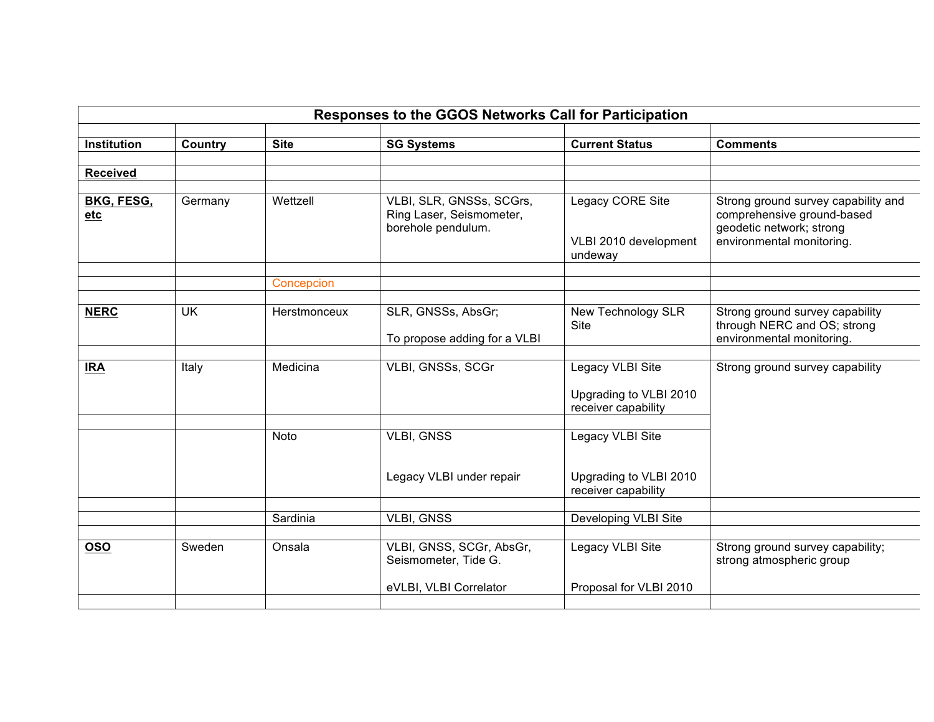| <b>Current Status</b><br><b>Institution</b><br>Country<br><b>Site</b><br><b>SG Systems</b><br><b>Comments</b><br><b>Received</b><br><b>BKG, FESG,</b><br>Wettzell<br>VLBI, SLR, GNSSs, SCGrs,<br>Legacy CORE Site<br>Strong ground survey capability and<br>Germany<br>Ring Laser, Seismometer,<br>comprehensive ground-based<br>etc |  |
|--------------------------------------------------------------------------------------------------------------------------------------------------------------------------------------------------------------------------------------------------------------------------------------------------------------------------------------|--|
|                                                                                                                                                                                                                                                                                                                                      |  |
|                                                                                                                                                                                                                                                                                                                                      |  |
|                                                                                                                                                                                                                                                                                                                                      |  |
|                                                                                                                                                                                                                                                                                                                                      |  |
| borehole pendulum.<br>geodetic network; strong<br>environmental monitoring.<br>VLBI 2010 development<br>undeway                                                                                                                                                                                                                      |  |
| Concepcion                                                                                                                                                                                                                                                                                                                           |  |
|                                                                                                                                                                                                                                                                                                                                      |  |
| <b>UK</b><br>SLR, GNSSs, AbsGr;<br><b>NERC</b><br>New Technology SLR<br>Strong ground survey capability<br>Herstmonceux<br>through NERC and OS; strong<br><b>Site</b><br>environmental monitoring.<br>To propose adding for a VLBI                                                                                                   |  |
|                                                                                                                                                                                                                                                                                                                                      |  |
| VLBI, GNSSs, SCGr<br>Legacy VLBI Site<br><b>IRA</b><br>Medicina<br>Strong ground survey capability<br>Italy<br>Upgrading to VLBI 2010<br>receiver capability                                                                                                                                                                         |  |
| <b>VLBI, GNSS</b><br>Legacy VLBI Site<br>Noto<br>Upgrading to VLBI 2010<br>Legacy VLBI under repair                                                                                                                                                                                                                                  |  |
| receiver capability                                                                                                                                                                                                                                                                                                                  |  |
|                                                                                                                                                                                                                                                                                                                                      |  |
| Sardinia<br><b>VLBI, GNSS</b><br>Developing VLBI Site                                                                                                                                                                                                                                                                                |  |
| VLBI, GNSS, SCGr, AbsGr,<br>Legacy VLBI Site<br><b>OSO</b><br>Strong ground survey capability;<br>Sweden<br>Onsala<br>Seismometer, Tide G.<br>strong atmospheric group<br>eVLBI, VLBI Correlator<br>Proposal for VLBI 2010                                                                                                           |  |
|                                                                                                                                                                                                                                                                                                                                      |  |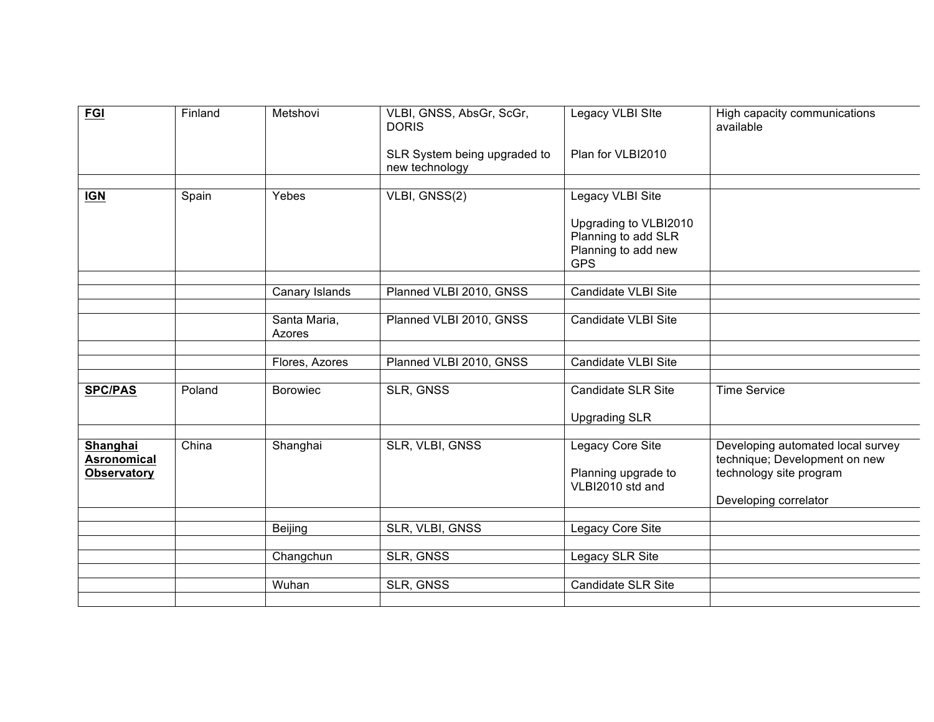| <b>FGI</b>                                           | Finland | Metshovi               | VLBI, GNSS, AbsGr, ScGr,<br><b>DORIS</b>       | Legacy VLBI SIte                                                                  | High capacity communications<br>available                                                     |
|------------------------------------------------------|---------|------------------------|------------------------------------------------|-----------------------------------------------------------------------------------|-----------------------------------------------------------------------------------------------|
|                                                      |         |                        | SLR System being upgraded to<br>new technology | Plan for VLBI2010                                                                 |                                                                                               |
|                                                      |         |                        |                                                |                                                                                   |                                                                                               |
| <b>IGN</b>                                           | Spain   | Yebes                  | VLBI, GNSS(2)                                  | Legacy VLBI Site                                                                  |                                                                                               |
|                                                      |         |                        |                                                | Upgrading to VLBI2010<br>Planning to add SLR<br>Planning to add new<br><b>GPS</b> |                                                                                               |
|                                                      |         |                        |                                                |                                                                                   |                                                                                               |
|                                                      |         | Canary Islands         | Planned VLBI 2010, GNSS                        | <b>Candidate VLBI Site</b>                                                        |                                                                                               |
|                                                      |         |                        |                                                |                                                                                   |                                                                                               |
|                                                      |         | Santa Maria,<br>Azores | Planned VLBI 2010, GNSS                        | Candidate VLBI Site                                                               |                                                                                               |
|                                                      |         |                        |                                                |                                                                                   |                                                                                               |
|                                                      |         | Flores, Azores         | Planned VLBI 2010, GNSS                        | Candidate VLBI Site                                                               |                                                                                               |
|                                                      |         |                        |                                                |                                                                                   |                                                                                               |
| <b>SPC/PAS</b>                                       | Poland  | <b>Borowiec</b>        | <b>SLR, GNSS</b>                               | <b>Candidate SLR Site</b>                                                         | <b>Time Service</b>                                                                           |
|                                                      |         |                        |                                                | <b>Upgrading SLR</b>                                                              |                                                                                               |
|                                                      |         |                        |                                                |                                                                                   |                                                                                               |
| Shanghai<br><b>Asronomical</b><br><b>Observatory</b> | China   | Shanghai               | SLR, VLBI, GNSS                                | Legacy Core Site<br>Planning upgrade to<br>VLBI2010 std and                       | Developing automated local survey<br>technique; Development on new<br>technology site program |
|                                                      |         |                        |                                                |                                                                                   | Developing correlator                                                                         |
|                                                      |         |                        |                                                |                                                                                   |                                                                                               |
|                                                      |         |                        | SLR, VLBI, GNSS                                | <b>Legacy Core Site</b>                                                           |                                                                                               |
|                                                      |         | <b>Beijing</b>         |                                                |                                                                                   |                                                                                               |
|                                                      |         | Changchun              | <b>SLR, GNSS</b>                               | Legacy SLR Site                                                                   |                                                                                               |
|                                                      |         |                        |                                                |                                                                                   |                                                                                               |
|                                                      |         | Wuhan                  | <b>SLR, GNSS</b>                               | <b>Candidate SLR Site</b>                                                         |                                                                                               |
|                                                      |         |                        |                                                |                                                                                   |                                                                                               |
|                                                      |         |                        |                                                |                                                                                   |                                                                                               |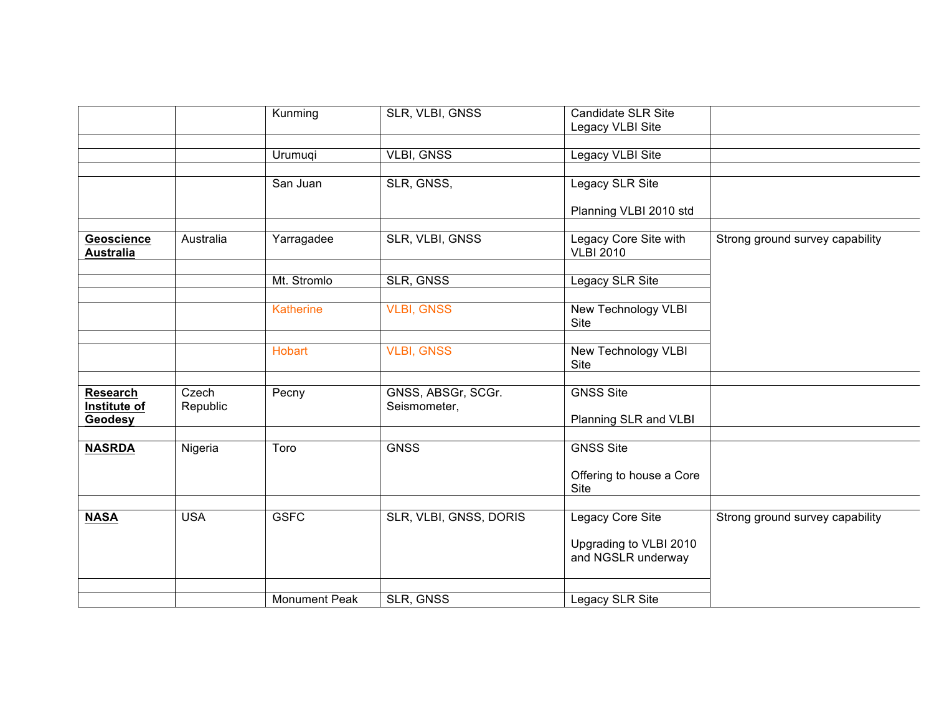|                                       |            | Kunming              | SLR, VLBI, GNSS        | <b>Candidate SLR Site</b>                 |                                 |
|---------------------------------------|------------|----------------------|------------------------|-------------------------------------------|---------------------------------|
|                                       |            |                      |                        | Legacy VLBI Site                          |                                 |
|                                       |            |                      |                        |                                           |                                 |
|                                       |            | Urumuqi              | <b>VLBI, GNSS</b>      | Legacy VLBI Site                          |                                 |
|                                       |            |                      |                        |                                           |                                 |
|                                       |            | San Juan             | SLR, GNSS,             | Legacy SLR Site                           |                                 |
|                                       |            |                      |                        |                                           |                                 |
|                                       |            |                      |                        | Planning VLBI 2010 std                    |                                 |
|                                       |            |                      |                        |                                           |                                 |
| <b>Geoscience</b><br><b>Australia</b> | Australia  | Yarragadee           | SLR, VLBI, GNSS        | Legacy Core Site with<br><b>VLBI 2010</b> | Strong ground survey capability |
|                                       |            |                      |                        |                                           |                                 |
|                                       |            | Mt. Stromlo          | <b>SLR, GNSS</b>       | Legacy SLR Site                           |                                 |
|                                       |            | <b>Katherine</b>     | <b>VLBI, GNSS</b>      | <b>New Technology VLBI</b>                |                                 |
|                                       |            |                      |                        | Site                                      |                                 |
|                                       |            |                      |                        |                                           |                                 |
|                                       |            | <b>Hobart</b>        | <b>VLBI, GNSS</b>      | New Technology VLBI                       |                                 |
|                                       |            |                      |                        | Site                                      |                                 |
|                                       |            |                      |                        |                                           |                                 |
| <b>Research</b>                       | Czech      | Pecny                | GNSS, ABSGr, SCGr.     | <b>GNSS Site</b>                          |                                 |
| Institute of                          | Republic   |                      | Seismometer,           |                                           |                                 |
| Geodesy                               |            |                      |                        | Planning SLR and VLBI                     |                                 |
|                                       |            |                      |                        |                                           |                                 |
| <b>NASRDA</b>                         | Nigeria    | Toro                 | <b>GNSS</b>            | <b>GNSS Site</b>                          |                                 |
|                                       |            |                      |                        |                                           |                                 |
|                                       |            |                      |                        | Offering to house a Core<br><b>Site</b>   |                                 |
|                                       |            |                      |                        |                                           |                                 |
| <b>NASA</b>                           | <b>USA</b> | <b>GSFC</b>          | SLR, VLBI, GNSS, DORIS | Legacy Core Site                          | Strong ground survey capability |
|                                       |            |                      |                        | Upgrading to VLBI 2010                    |                                 |
|                                       |            |                      |                        | and NGSLR underway                        |                                 |
|                                       |            |                      |                        |                                           |                                 |
|                                       |            | <b>Monument Peak</b> | SLR, GNSS              | Legacy SLR Site                           |                                 |